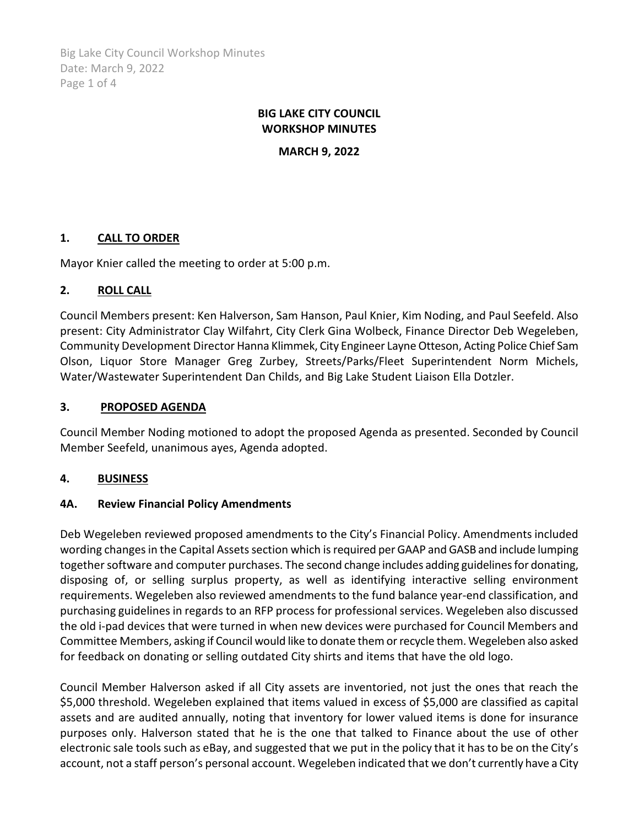Big Lake City Council Workshop Minutes Date: March 9, 2022 Page 1 of 4

## **BIG LAKE CITY COUNCIL WORKSHOP MINUTES**

**MARCH 9, 2022**

## **1. CALL TO ORDER**

Mayor Knier called the meeting to order at 5:00 p.m.

## **2. ROLL CALL**

Council Members present: Ken Halverson, Sam Hanson, Paul Knier, Kim Noding, and Paul Seefeld. Also present: City Administrator Clay Wilfahrt, City Clerk Gina Wolbeck, Finance Director Deb Wegeleben, Community Development Director Hanna Klimmek, City Engineer Layne Otteson, Acting Police Chief Sam Olson, Liquor Store Manager Greg Zurbey, Streets/Parks/Fleet Superintendent Norm Michels, Water/Wastewater Superintendent Dan Childs, and Big Lake Student Liaison Ella Dotzler.

### **3. PROPOSED AGENDA**

Council Member Noding motioned to adopt the proposed Agenda as presented. Seconded by Council Member Seefeld, unanimous ayes, Agenda adopted.

## **4. BUSINESS**

#### **4A. Review Financial Policy Amendments**

Deb Wegeleben reviewed proposed amendments to the City's Financial Policy. Amendments included wording changes in the Capital Assets section which is required per GAAP and GASB and include lumping together software and computer purchases. The second change includes adding guidelines for donating, disposing of, or selling surplus property, as well as identifying interactive selling environment requirements. Wegeleben also reviewed amendments to the fund balance year-end classification, and purchasing guidelines in regards to an RFP process for professional services. Wegeleben also discussed the old i-pad devices that were turned in when new devices were purchased for Council Members and Committee Members, asking if Council would like to donate them or recycle them. Wegeleben also asked for feedback on donating or selling outdated City shirts and items that have the old logo.

Council Member Halverson asked if all City assets are inventoried, not just the ones that reach the \$5,000 threshold. Wegeleben explained that items valued in excess of \$5,000 are classified as capital assets and are audited annually, noting that inventory for lower valued items is done for insurance purposes only. Halverson stated that he is the one that talked to Finance about the use of other electronic sale tools such as eBay, and suggested that we put in the policy that it has to be on the City's account, not a staff person's personal account. Wegeleben indicated that we don't currently have a City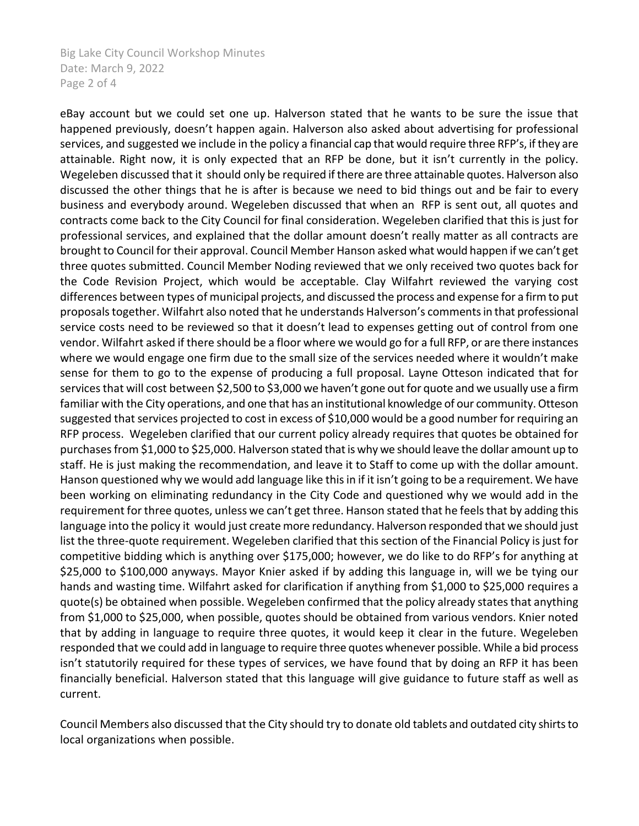Big Lake City Council Workshop Minutes Date: March 9, 2022 Page 2 of 4

eBay account but we could set one up. Halverson stated that he wants to be sure the issue that happened previously, doesn't happen again. Halverson also asked about advertising for professional services, and suggested we include in the policy a financial cap that would require three RFP's, if they are attainable. Right now, it is only expected that an RFP be done, but it isn't currently in the policy. Wegeleben discussed that it should only be required if there are three attainable quotes. Halverson also discussed the other things that he is after is because we need to bid things out and be fair to every business and everybody around. Wegeleben discussed that when an RFP is sent out, all quotes and contracts come back to the City Council for final consideration. Wegeleben clarified that this is just for professional services, and explained that the dollar amount doesn't really matter as all contracts are brought to Council for their approval. Council Member Hanson asked what would happen if we can't get three quotes submitted. Council Member Noding reviewed that we only received two quotes back for the Code Revision Project, which would be acceptable. Clay Wilfahrt reviewed the varying cost differences between types of municipal projects, and discussed the process and expense for a firm to put proposals together. Wilfahrt also noted that he understands Halverson's comments in that professional service costs need to be reviewed so that it doesn't lead to expenses getting out of control from one vendor. Wilfahrt asked if there should be a floor where we would go for a full RFP, or are there instances where we would engage one firm due to the small size of the services needed where it wouldn't make sense for them to go to the expense of producing a full proposal. Layne Otteson indicated that for services that will cost between \$2,500 to \$3,000 we haven't gone out for quote and we usually use a firm familiar with the City operations, and one that has an institutional knowledge of our community. Otteson suggested that services projected to cost in excess of \$10,000 would be a good number for requiring an RFP process. Wegeleben clarified that our current policy already requires that quotes be obtained for purchases from \$1,000 to \$25,000. Halverson stated that is why we should leave the dollar amount up to staff. He is just making the recommendation, and leave it to Staff to come up with the dollar amount. Hanson questioned why we would add language like this in if it isn't going to be a requirement. We have been working on eliminating redundancy in the City Code and questioned why we would add in the requirement for three quotes, unless we can't get three. Hanson stated that he feels that by adding this language into the policy it would just create more redundancy. Halverson responded that we should just list the three-quote requirement. Wegeleben clarified that this section of the Financial Policy is just for competitive bidding which is anything over \$175,000; however, we do like to do RFP's for anything at \$25,000 to \$100,000 anyways. Mayor Knier asked if by adding this language in, will we be tying our hands and wasting time. Wilfahrt asked for clarification if anything from \$1,000 to \$25,000 requires a quote(s) be obtained when possible. Wegeleben confirmed that the policy already states that anything from \$1,000 to \$25,000, when possible, quotes should be obtained from various vendors. Knier noted that by adding in language to require three quotes, it would keep it clear in the future. Wegeleben responded that we could add in language to require three quotes whenever possible. While a bid process isn't statutorily required for these types of services, we have found that by doing an RFP it has been financially beneficial. Halverson stated that this language will give guidance to future staff as well as current.

Council Members also discussed that the City should try to donate old tablets and outdated city shirtsto local organizations when possible.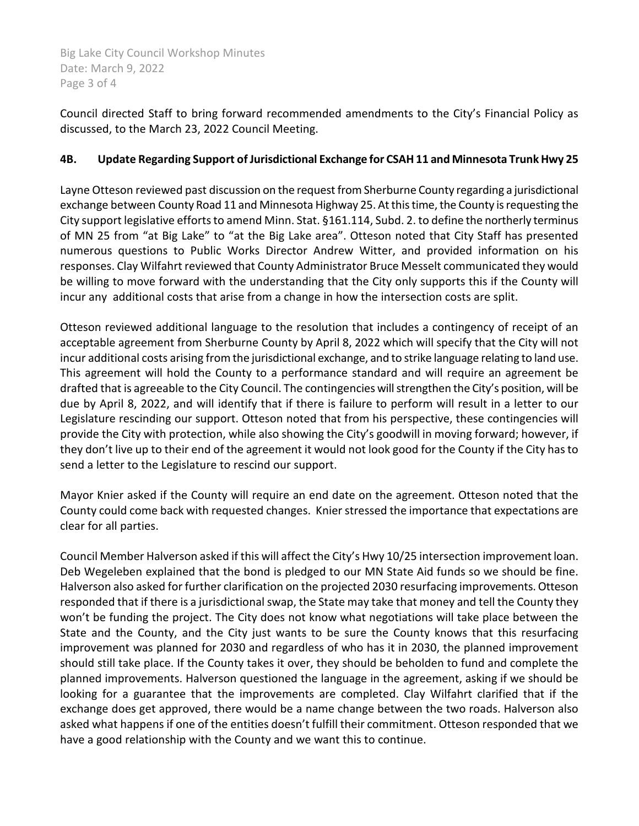Big Lake City Council Workshop Minutes Date: March 9, 2022 Page 3 of 4

Council directed Staff to bring forward recommended amendments to the City's Financial Policy as discussed, to the March 23, 2022 Council Meeting.

## **4B. Update Regarding Support of Jurisdictional Exchange for CSAH 11 and Minnesota Trunk Hwy 25**

Layne Otteson reviewed past discussion on the request from Sherburne County regarding a jurisdictional exchange between County Road 11 and Minnesota Highway 25. At this time, the County is requesting the City support legislative efforts to amend Minn. Stat. §161.114, Subd. 2. to define the northerly terminus of MN 25 from "at Big Lake" to "at the Big Lake area". Otteson noted that City Staff has presented numerous questions to Public Works Director Andrew Witter, and provided information on his responses. Clay Wilfahrt reviewed that County Administrator Bruce Messelt communicated they would be willing to move forward with the understanding that the City only supports this if the County will incur any additional costs that arise from a change in how the intersection costs are split.

Otteson reviewed additional language to the resolution that includes a contingency of receipt of an acceptable agreement from Sherburne County by April 8, 2022 which will specify that the City will not incur additional costs arising from the jurisdictional exchange, and to strike language relating to land use. This agreement will hold the County to a performance standard and will require an agreement be drafted that is agreeable to the City Council. The contingencies will strengthen the City's position, will be due by April 8, 2022, and will identify that if there is failure to perform will result in a letter to our Legislature rescinding our support. Otteson noted that from his perspective, these contingencies will provide the City with protection, while also showing the City's goodwill in moving forward; however, if they don't live up to their end of the agreement it would not look good for the County if the City has to send a letter to the Legislature to rescind our support.

Mayor Knier asked if the County will require an end date on the agreement. Otteson noted that the County could come back with requested changes. Knier stressed the importance that expectations are clear for all parties.

Council Member Halverson asked if this will affect the City's Hwy 10/25 intersection improvement loan. Deb Wegeleben explained that the bond is pledged to our MN State Aid funds so we should be fine. Halverson also asked for further clarification on the projected 2030 resurfacing improvements. Otteson responded that if there is a jurisdictional swap, the State may take that money and tell the County they won't be funding the project. The City does not know what negotiations will take place between the State and the County, and the City just wants to be sure the County knows that this resurfacing improvement was planned for 2030 and regardless of who has it in 2030, the planned improvement should still take place. If the County takes it over, they should be beholden to fund and complete the planned improvements. Halverson questioned the language in the agreement, asking if we should be looking for a guarantee that the improvements are completed. Clay Wilfahrt clarified that if the exchange does get approved, there would be a name change between the two roads. Halverson also asked what happens if one of the entities doesn't fulfill their commitment. Otteson responded that we have a good relationship with the County and we want this to continue.